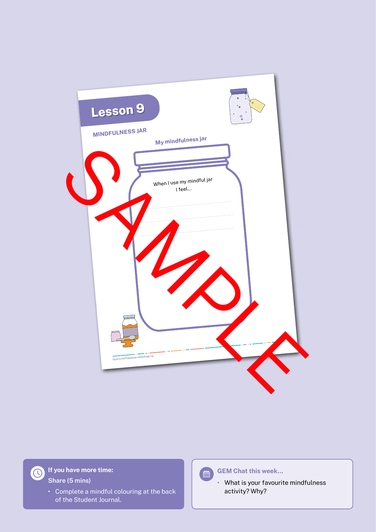

**If you have more time: Share (5 mins)**

> **•** Complete a mindful colouring at the back of the Student Journal.



**GEM Chat this week…**

**•** What is your favourite mindfulness activity? Why?